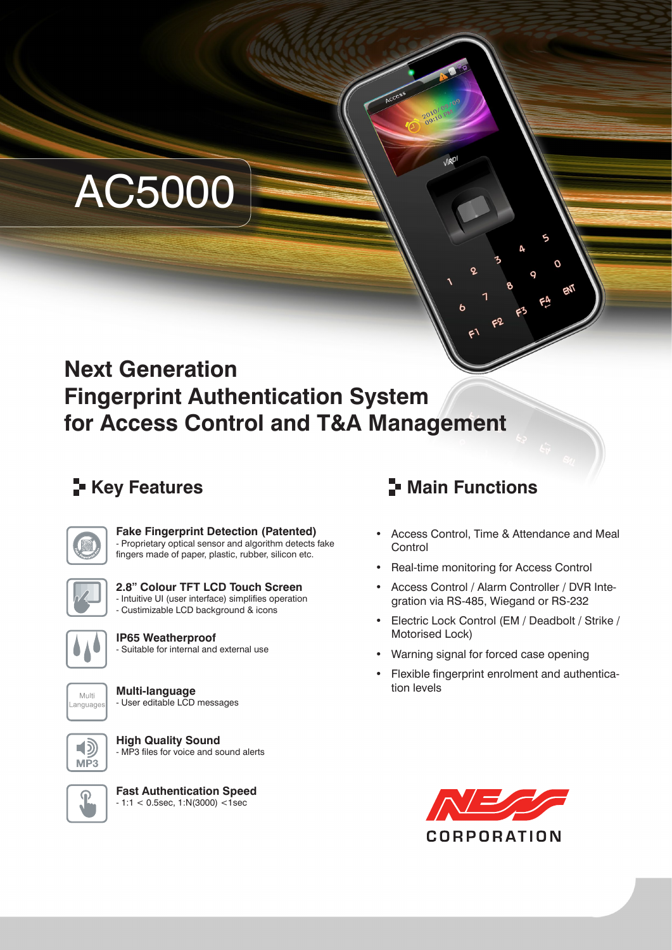# AC5000

# **Next Generation Fingerprint Authentication System for Access Control and T&A Management**



**Fake Fingerprint Detection (Patented)** - Proprietary optical sensor and algorithm detects fake

fingers made of paper, plastic, rubber, silicon etc.



**2.8" Colour TFT LCD Touch Screen** - Intuitive UI (user interface) simplifies operation - Custimizable LCD background & icons



**IP65 Weatherproof** - Suitable for internal and external use



**Multi-language** - User editable LCD messages



**High Quality Sound** - MP3 files for voice and sound alerts



**Fast Authentication Speed** - 1:1 < 0.5sec, 1:N(3000) <1sec

## **F** Key Features **Main Functions**

Access Control, Time & Attendance and Meal **Control** 

 $\Omega$ 

- Real-time monitoring for Access Control
- Access Control / Alarm Controller / DVR Integration via RS-485, Wiegand or RS-232
- Electric Lock Control (EM / Deadbolt / Strike / Motorised Lock)
- Warning signal for forced case opening
- Flexible fingerprint enrolment and authentication levels